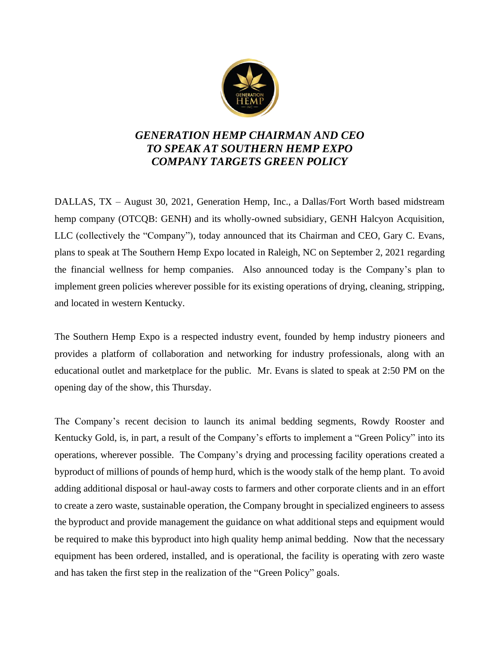

## *GENERATION HEMP CHAIRMAN AND CEO TO SPEAK AT SOUTHERN HEMP EXPO COMPANY TARGETS GREEN POLICY*

DALLAS, TX – August 30, 2021, Generation Hemp, Inc., a Dallas/Fort Worth based midstream hemp company (OTCQB: GENH) and its wholly-owned subsidiary, GENH Halcyon Acquisition, LLC (collectively the "Company"), today announced that its Chairman and CEO, Gary C. Evans, plans to speak at The Southern Hemp Expo located in Raleigh, NC on September 2, 2021 regarding the financial wellness for hemp companies. Also announced today is the Company's plan to implement green policies wherever possible for its existing operations of drying, cleaning, stripping, and located in western Kentucky.

The Southern Hemp Expo is a respected industry event, founded by hemp industry pioneers and provides a platform of collaboration and networking for industry professionals, along with an educational outlet and marketplace for the public. Mr. Evans is slated to speak at 2:50 PM on the opening day of the show, this Thursday.

The Company's recent decision to launch its animal bedding segments, Rowdy Rooster and Kentucky Gold, is, in part, a result of the Company's efforts to implement a "Green Policy" into its operations, wherever possible. The Company's drying and processing facility operations created a byproduct of millions of pounds of hemp hurd, which is the woody stalk of the hemp plant. To avoid adding additional disposal or haul-away costs to farmers and other corporate clients and in an effort to create a zero waste, sustainable operation, the Company brought in specialized engineers to assess the byproduct and provide management the guidance on what additional steps and equipment would be required to make this byproduct into high quality hemp animal bedding. Now that the necessary equipment has been ordered, installed, and is operational, the facility is operating with zero waste and has taken the first step in the realization of the "Green Policy" goals.